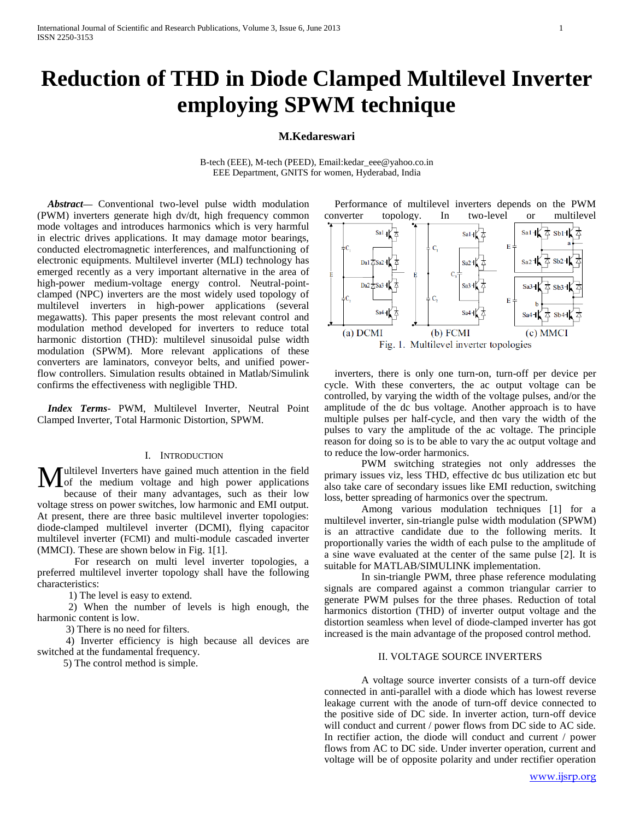# **Reduction of THD in Diode Clamped Multilevel Inverter employing SPWM technique**

# **M.Kedareswari**

B-tech (EEE), M-tech (PEED), Email[:kedar\\_eee@yahoo.co.in](mailto:kedar_eee@yahoo.co.in) EEE Department, GNITS for women, Hyderabad, India

*Abstract***—** Conventional two-level pulse width modulation (PWM) inverters generate high dv/dt, high frequency common mode voltages and introduces harmonics which is very harmful in electric drives applications. It may damage motor bearings, conducted electromagnetic interferences, and malfunctioning of electronic equipments. Multilevel inverter (MLI) technology has emerged recently as a very important alternative in the area of high-power medium-voltage energy control. Neutral-pointclamped (NPC) inverters are the most widely used topology of multilevel inverters in high-power applications (several megawatts). This paper presents the most relevant control and modulation method developed for inverters to reduce total harmonic distortion (THD): multilevel sinusoidal pulse width modulation (SPWM). More relevant applications of these converters are laminators, conveyor belts, and unified powerflow controllers. Simulation results obtained in Matlab/Simulink confirms the effectiveness with negligible THD.

*Index Terms*- PWM, Multilevel Inverter, Neutral Point Clamped Inverter, Total Harmonic Distortion, SPWM.

## I. INTRODUCTION

ultilevel Inverters have gained much attention in the field  $\mathbf{M}$ ultilevel Inverters have gained much attention in the field of the medium voltage and high power applications  $\mathbf{M}$ because of their many advantages, such as their low voltage stress on power switches, low harmonic and EMI output. At present, there are three basic multilevel inverter topologies: diode-clamped multilevel inverter (DCMI), flying capacitor multilevel inverter (FCMI) and multi-module cascaded inverter (MMCI). These are shown below in Fig. 1[1].

For research on multi level inverter topologies, a preferred multilevel inverter topology shall have the following characteristics:

1) The level is easy to extend.

 2) When the number of levels is high enough, the harmonic content is low.

3) There is no need for filters.

 4) Inverter efficiency is high because all devices are switched at the fundamental frequency.

5) The control method is simple.



inverters, there is only one turn-on, turn-off per device per cycle. With these converters, the ac output voltage can be controlled, by varying the width of the voltage pulses, and/or the amplitude of the dc bus voltage. Another approach is to have multiple pulses per half-cycle, and then vary the width of the pulses to vary the amplitude of the ac voltage. The principle reason for doing so is to be able to vary the ac output voltage and to reduce the low-order harmonics.

PWM switching strategies not only addresses the primary issues viz, less THD, effective dc bus utilization etc but also take care of secondary issues like EMI reduction, switching loss, better spreading of harmonics over the spectrum.

Among various modulation techniques [1] for a multilevel inverter, sin-triangle pulse width modulation (SPWM) is an attractive candidate due to the following merits. It proportionally varies the width of each pulse to the amplitude of a sine wave evaluated at the center of the same pulse [2]. It is suitable for MATLAB/SIMULINK implementation.

In sin-triangle PWM, three phase reference modulating signals are compared against a common triangular carrier to generate PWM pulses for the three phases. Reduction of total harmonics distortion (THD) of inverter output voltage and the distortion seamless when level of diode-clamped inverter has got increased is the main advantage of the proposed control method.

# II. VOLTAGE SOURCE INVERTERS

A voltage source inverter consists of a turn-off device connected in anti-parallel with a diode which has lowest reverse leakage current with the anode of turn-off device connected to the positive side of DC side. In inverter action, turn-off device will conduct and current / power flows from DC side to AC side. In rectifier action, the diode will conduct and current / power flows from AC to DC side. Under inverter operation, current and voltage will be of opposite polarity and under rectifier operation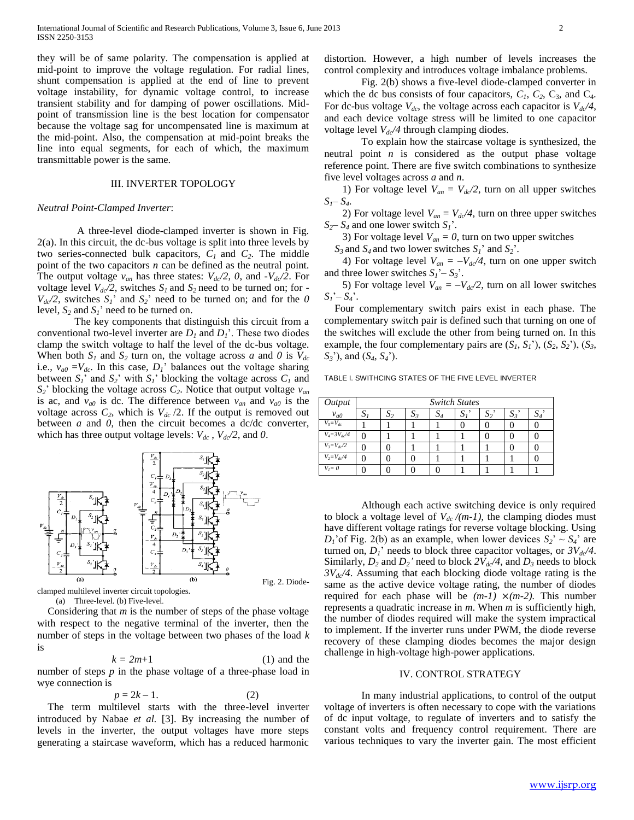they will be of same polarity. The compensation is applied at mid-point to improve the voltage regulation. For radial lines, shunt compensation is applied at the end of line to prevent voltage instability, for dynamic voltage control, to increase transient stability and for damping of power oscillations. Midpoint of transmission line is the best location for compensator because the voltage sag for uncompensated line is maximum at the mid-point. Also, the compensation at mid-point breaks the line into equal segments, for each of which, the maximum transmittable power is the same.

#### III. INVERTER TOPOLOGY

#### *Neutral Point-Clamped Inverter*:

A three-level diode-clamped inverter is shown in Fig. 2(a). In this circuit, the dc-bus voltage is split into three levels by two series-connected bulk capacitors, *C<sup>1</sup>* and *C2*. The middle point of the two capacitors *n* can be defined as the neutral point. The output voltage  $v_{an}$  has three states:  $V_{dc}/2$ , 0, and  $-V_{dc}/2$ . For voltage level  $V_{dc}/2$ , switches  $S_I$  and  $S_2$  need to be turned on; for - $V_{dc}/2$ , switches  $S_1$ <sup>'</sup> and  $S_2$ <sup>'</sup> need to be turned on; and for the *0* level,  $S_2$  and  $S_1$ <sup>\*</sup> need to be turned on.

The key components that distinguish this circuit from a conventional two-level inverter are  $D_1$  and  $D_1$ <sup>2</sup>. These two diodes clamp the switch voltage to half the level of the dc-bus voltage. When both  $S_1$  and  $S_2$  turn on, the voltage across *a* and *0* is  $V_{dc}$ i.e.,  $v_{a0} = V_{dc}$ . In this case,  $D_l$ ' balances out the voltage sharing between  $S_I$ <sup>'</sup> and  $S_2$ <sup>'</sup> with  $S_I$ <sup>'</sup> blocking the voltage across  $C_I$  and  $S_2$ <sup>'</sup> blocking the voltage across  $C_2$ . Notice that output voltage  $v_{an}$ is ac, and  $v_{a0}$  is dc. The difference between  $v_{an}$  and  $v_{a0}$  is the voltage across  $C_2$ , which is  $V_{dc}$  /2. If the output is removed out between *a* and *0*, then the circuit becomes a dc/dc converter, which has three output voltage levels:  $V_{dc}$ ,  $V_{dc}/2$ , and 0.



clamped multilevel inverter circuit topologies. (a) Three-level. (b) Five-level.

Considering that *m* is the number of steps of the phase voltage with respect to the negative terminal of the inverter, then the number of steps in the voltage between two phases of the load *k*  is

$$
k = 2m+1
$$
 (1) and the

number of steps *p* in the phase voltage of a three-phase load in wye connection is

$$
p = 2k - 1.\tag{2}
$$

The term multilevel starts with the three-level inverter introduced by Nabae *et al.* [3]. By increasing the number of levels in the inverter, the output voltages have more steps generating a staircase waveform, which has a reduced harmonic

distortion. However, a high number of levels increases the control complexity and introduces voltage imbalance problems.

Fig. 2(b) shows a five-level diode-clamped converter in which the dc bus consists of four capacitors,  $C_1$ ,  $C_2$ ,  $C_3$ , and  $C_4$ . For dc-bus voltage  $V_{dc}$ , the voltage across each capacitor is  $V_{dc}/4$ , and each device voltage stress will be limited to one capacitor voltage level *Vdc/4* through clamping diodes.

To explain how the staircase voltage is synthesized, the neutral point *n* is considered as the output phase voltage reference point. There are five switch combinations to synthesize five level voltages across *a* and *n*.

1) For voltage level  $V_{an} = V_{dc}/2$ , turn on all upper switches  $S_I - S_4$ .

2) For voltage level  $V_{an} = V_{dc}/4$ , turn on three upper switches  $S_2 - S_4$  and one lower switch  $S_1$ <sup>'</sup>.

3) For voltage level  $V_{an} = 0$ , turn on two upper switches

 $S_3$  and  $S_4$  and two lower switches  $S_1$ <sup>'</sup> and  $S_2$ <sup>'</sup>.

4) For voltage level  $V_{an} = -V_{dc}/4$ , turn on one upper switch and three lower switches  $S_I' - S_3'$ .

5) For voltage level  $V_{an} = -V_{dc}/2$ , turn on all lower switches  $S_1' - S_4'.$ 

Four complementary switch pairs exist in each phase. The complementary switch pair is defined such that turning on one of the switches will exclude the other from being turned on. In this example, the four complementary pairs are  $(S_1, S_1)$ ,  $(S_2, S_2)$ ,  $(S_3, S_1)$ *S3*'), and (*S4*, *S4*').

TABLE I. SWITHCING STATES OF THE FIVE LEVEL INVERTER

| Output             | <b>Switch States</b> |      |    |                 |     |     |       |  |
|--------------------|----------------------|------|----|-----------------|-----|-----|-------|--|
| $v_{a0}$           | ز د                  | د ۱۵ | D3 | $\mathcal{Q}_4$ | : ف | د د | $S_3$ |  |
| $V_5 = V_{dc}$     |                      |      |    |                 |     |     |       |  |
| $V_4 = 3V_{dc}/4$  | Ω                    |      |    |                 |     |     |       |  |
| $V_3 = V_{dc}/2$   |                      |      |    |                 |     |     |       |  |
| $V_2 = V_{dc} / 4$ |                      |      |    |                 |     |     |       |  |
| $V_i = 0$          |                      |      |    |                 |     |     |       |  |

Although each active switching device is only required to block a voltage level of  $V_{dc}$  /(m-1), the clamping diodes must have different voltage ratings for reverse voltage blocking. Using  $D_1$ 'of Fig. 2(b) as an example, when lower devices  $S_2$ <sup>'</sup> ~  $S_4$ <sup>'</sup> are turned on,  $D_I$ <sup>'</sup> needs to block three capacitor voltages, or  $3V_{dc}/4$ . Similarly,  $D_2$  and  $D_2$ <sup>'</sup> need to block  $2V_{d}$ <sup> $d$ </sup>, and  $D_3$  needs to block *3Vdc/4*. Assuming that each blocking diode voltage rating is the same as the active device voltage rating, the number of diodes required for each phase will be  $(m-1) \times (m-2)$ . This number represents a quadratic increase in *m*. When *m* is sufficiently high, the number of diodes required will make the system impractical to implement. If the inverter runs under PWM, the diode reverse recovery of these clamping diodes becomes the major design challenge in high-voltage high-power applications.

#### IV. CONTROL STRATEGY

In many industrial applications, to control of the output voltage of inverters is often necessary to cope with the variations of dc input voltage, to regulate of inverters and to satisfy the constant volts and frequency control requirement. There are various techniques to vary the inverter gain. The most efficient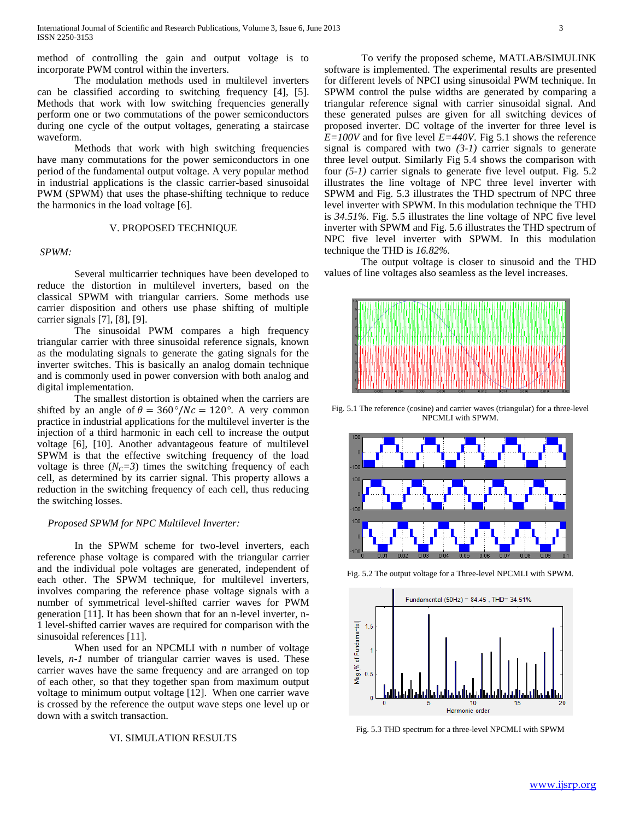method of controlling the gain and output voltage is to incorporate PWM control within the inverters.

The modulation methods used in multilevel inverters can be classified according to switching frequency [4], [5]. Methods that work with low switching frequencies generally perform one or two commutations of the power semiconductors during one cycle of the output voltages, generating a staircase waveform.

Methods that work with high switching frequencies have many commutations for the power semiconductors in one period of the fundamental output voltage. A very popular method in industrial applications is the classic carrier-based sinusoidal PWM (SPWM) that uses the phase-shifting technique to reduce the harmonics in the load voltage [6].

# V. PROPOSED TECHNIQUE

#### *SPWM:*

Several multicarrier techniques have been developed to reduce the distortion in multilevel inverters, based on the classical SPWM with triangular carriers. Some methods use carrier disposition and others use phase shifting of multiple carrier signals [7], [8], [9].

The sinusoidal PWM compares a high frequency triangular carrier with three sinusoidal reference signals, known as the modulating signals to generate the gating signals for the inverter switches. This is basically an analog domain technique and is commonly used in power conversion with both analog and digital implementation.

The smallest distortion is obtained when the carriers are shifted by an angle of  $\theta = 360^{\circ}/Nc = 120^{\circ}$ . A very common practice in industrial applications for the multilevel inverter is the injection of a third harmonic in each cell to increase the output voltage [6], [10]. Another advantageous feature of multilevel SPWM is that the effective switching frequency of the load voltage is three  $(N_C = 3)$  times the switching frequency of each cell, as determined by its carrier signal. This property allows a reduction in the switching frequency of each cell, thus reducing the switching losses.

# *Proposed SPWM for NPC Multilevel Inverter:*

In the SPWM scheme for two-level inverters, each reference phase voltage is compared with the triangular carrier and the individual pole voltages are generated, independent of each other. The SPWM technique, for multilevel inverters, involves comparing the reference phase voltage signals with a number of symmetrical level-shifted carrier waves for PWM generation [11]. It has been shown that for an n-level inverter, n-1 level-shifted carrier waves are required for comparison with the sinusoidal references [11].

When used for an NPCMLI with *n* number of voltage levels, *n-1* number of triangular carrier waves is used. These carrier waves have the same frequency and are arranged on top of each other, so that they together span from maximum output voltage to minimum output voltage [12]. When one carrier wave is crossed by the reference the output wave steps one level up or down with a switch transaction.

## VI. SIMULATION RESULTS

To verify the proposed scheme, MATLAB/SIMULINK software is implemented. The experimental results are presented for different levels of NPCI using sinusoidal PWM technique. In SPWM control the pulse widths are generated by comparing a triangular reference signal with carrier sinusoidal signal. And these generated pulses are given for all switching devices of proposed inverter. DC voltage of the inverter for three level is  $E=100V$  and for five level  $E=440V$ . Fig 5.1 shows the reference signal is compared with two *(3-1)* carrier signals to generate three level output. Similarly Fig 5.4 shows the comparison with four *(5-1)* carrier signals to generate five level output. Fig. 5.2 illustrates the line voltage of NPC three level inverter with SPWM and Fig. 5.3 illustrates the THD spectrum of NPC three level inverter with SPWM. In this modulation technique the THD is *34.51%.* Fig. 5.5 illustrates the line voltage of NPC five level inverter with SPWM and Fig. 5.6 illustrates the THD spectrum of NPC five level inverter with SPWM. In this modulation technique the THD is *16.82%.*

The output voltage is closer to sinusoid and the THD values of line voltages also seamless as the level increases.



Fig. 5.1 The reference (cosine) and carrier waves (triangular) for a three-level NPCMLI with SPWM.



Fig. 5.2 The output voltage for a Three-level NPCMLI with SPWM.



Fig. 5.3 THD spectrum for a three-level NPCMLI with SPWM